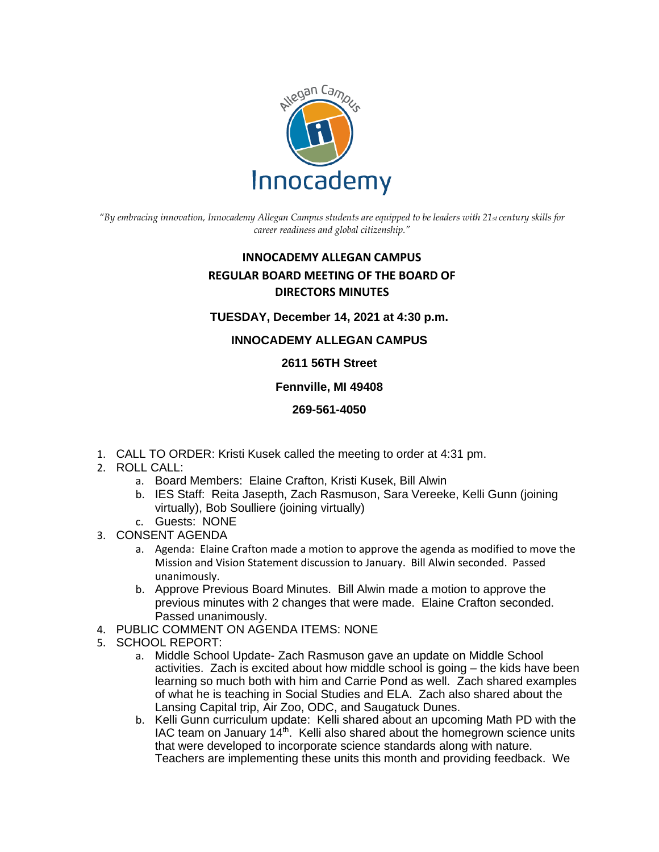

*"By embracing innovation, Innocademy Allegan Campus students are equipped to be leaders with 21st century skills for career readiness and global citizenship."*

# **INNOCADEMY ALLEGAN CAMPUS REGULAR BOARD MEETING OF THE BOARD OF DIRECTORS MINUTES**

## **TUESDAY, December 14, 2021 at 4:30 p.m.**

# **INNOCADEMY ALLEGAN CAMPUS**

## **2611 56TH Street**

## **Fennville, MI 49408**

## **269-561-4050**

- 1. CALL TO ORDER: Kristi Kusek called the meeting to order at 4:31 pm.
- 2. ROLL CALL:
	- a. Board Members: Elaine Crafton, Kristi Kusek, Bill Alwin
	- b. IES Staff: Reita Jasepth, Zach Rasmuson, Sara Vereeke, Kelli Gunn (joining virtually), Bob Soulliere (joining virtually)
	- c. Guests: NONE
- 3. CONSENT AGENDA
	- a. Agenda: Elaine Crafton made a motion to approve the agenda as modified to move the Mission and Vision Statement discussion to January. Bill Alwin seconded. Passed unanimously.
	- b. Approve Previous Board Minutes. Bill Alwin made a motion to approve the previous minutes with 2 changes that were made. Elaine Crafton seconded. Passed unanimously.
- 4. PUBLIC COMMENT ON AGENDA ITEMS: NONE
- 5. SCHOOL REPORT:
	- a. Middle School Update- Zach Rasmuson gave an update on Middle School activities. Zach is excited about how middle school is going – the kids have been learning so much both with him and Carrie Pond as well. Zach shared examples of what he is teaching in Social Studies and ELA. Zach also shared about the Lansing Capital trip, Air Zoo, ODC, and Saugatuck Dunes.
	- b. Kelli Gunn curriculum update: Kelli shared about an upcoming Math PD with the IAC team on January  $14<sup>th</sup>$ . Kelli also shared about the homegrown science units that were developed to incorporate science standards along with nature. Teachers are implementing these units this month and providing feedback. We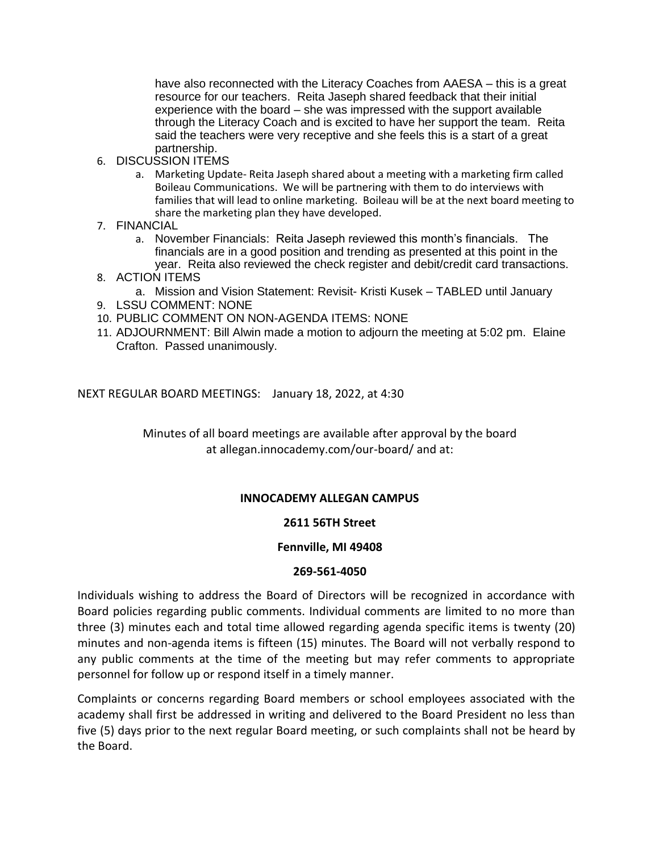have also reconnected with the Literacy Coaches from AAESA – this is a great resource for our teachers. Reita Jaseph shared feedback that their initial experience with the board – she was impressed with the support available through the Literacy Coach and is excited to have her support the team. Reita said the teachers were very receptive and she feels this is a start of a great partnership.

- 6. DISCUSSION ITEMS
	- a. Marketing Update- Reita Jaseph shared about a meeting with a marketing firm called Boileau Communications. We will be partnering with them to do interviews with families that will lead to online marketing. Boileau will be at the next board meeting to share the marketing plan they have developed.
- 7. FINANCIAL
	- a. November Financials: Reita Jaseph reviewed this month's financials. The financials are in a good position and trending as presented at this point in the year. Reita also reviewed the check register and debit/credit card transactions.
- 8. ACTION ITEMS
	- a. Mission and Vision Statement: Revisit- Kristi Kusek TABLED until January
- 9. LSSU COMMENT: NONE
- 10. PUBLIC COMMENT ON NON-AGENDA ITEMS: NONE
- 11. ADJOURNMENT: Bill Alwin made a motion to adjourn the meeting at 5:02 pm. Elaine Crafton. Passed unanimously.

NEXT REGULAR BOARD MEETINGS: January 18, 2022, at 4:30

Minutes of all board meetings are available after approval by the board at allegan.innocademy.com/our-board/ and at:

## **INNOCADEMY ALLEGAN CAMPUS**

## **2611 56TH Street**

#### **Fennville, MI 49408**

#### **269-561-4050**

Individuals wishing to address the Board of Directors will be recognized in accordance with Board policies regarding public comments. Individual comments are limited to no more than three (3) minutes each and total time allowed regarding agenda specific items is twenty (20) minutes and non-agenda items is fifteen (15) minutes. The Board will not verbally respond to any public comments at the time of the meeting but may refer comments to appropriate personnel for follow up or respond itself in a timely manner.

Complaints or concerns regarding Board members or school employees associated with the academy shall first be addressed in writing and delivered to the Board President no less than five (5) days prior to the next regular Board meeting, or such complaints shall not be heard by the Board.